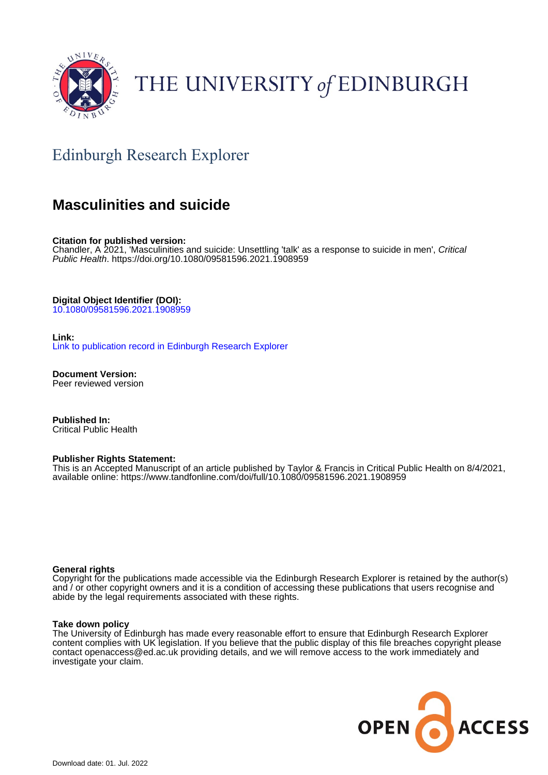

## THE UNIVERSITY of EDINBURGH

### Edinburgh Research Explorer

### **Masculinities and suicide**

**Citation for published version:**

Chandler, A 2021, 'Masculinities and suicide: Unsettling 'talk' as a response to suicide in men', Critical Public Health.<https://doi.org/10.1080/09581596.2021.1908959>

**Digital Object Identifier (DOI):**

[10.1080/09581596.2021.1908959](https://doi.org/10.1080/09581596.2021.1908959)

**Link:**

[Link to publication record in Edinburgh Research Explorer](https://www.research.ed.ac.uk/en/publications/41394153-0136-49d8-a2c4-de570b3b62ff)

**Document Version:** Peer reviewed version

**Published In:** Critical Public Health

#### **Publisher Rights Statement:**

This is an Accepted Manuscript of an article published by Taylor & Francis in Critical Public Health on 8/4/2021, available online: https://www.tandfonline.com/doi/full/10.1080/09581596.2021.1908959

#### **General rights**

Copyright for the publications made accessible via the Edinburgh Research Explorer is retained by the author(s) and / or other copyright owners and it is a condition of accessing these publications that users recognise and abide by the legal requirements associated with these rights.

#### **Take down policy**

The University of Edinburgh has made every reasonable effort to ensure that Edinburgh Research Explorer content complies with UK legislation. If you believe that the public display of this file breaches copyright please contact openaccess@ed.ac.uk providing details, and we will remove access to the work immediately and investigate your claim.

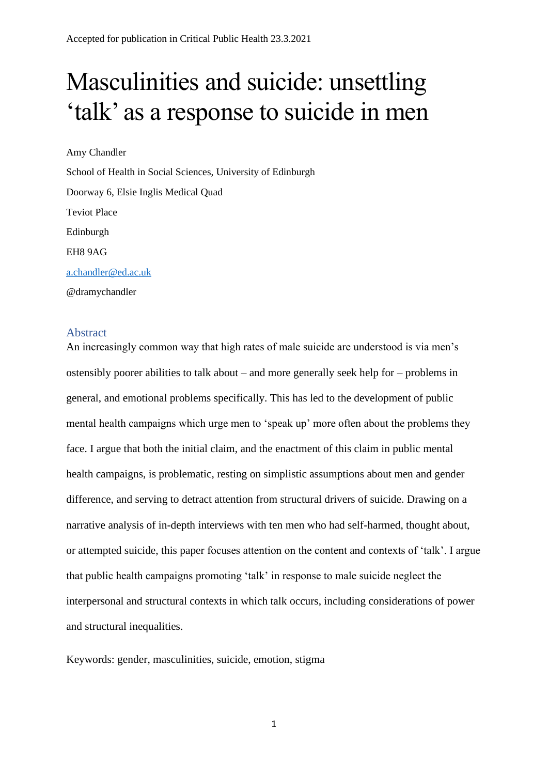# Masculinities and suicide: unsettling 'talk' as a response to suicide in men

Amy Chandler School of Health in Social Sciences, University of Edinburgh Doorway 6, Elsie Inglis Medical Quad Teviot Place Edinburgh EH8 9AG [a.chandler@ed.ac.uk](mailto:a.chandler@ed.ac.uk) @dramychandler

#### Abstract

An increasingly common way that high rates of male suicide are understood is via men's ostensibly poorer abilities to talk about – and more generally seek help for – problems in general, and emotional problems specifically. This has led to the development of public mental health campaigns which urge men to 'speak up' more often about the problems they face. I argue that both the initial claim, and the enactment of this claim in public mental health campaigns, is problematic, resting on simplistic assumptions about men and gender difference, and serving to detract attention from structural drivers of suicide. Drawing on a narrative analysis of in-depth interviews with ten men who had self-harmed, thought about, or attempted suicide, this paper focuses attention on the content and contexts of 'talk'. I argue that public health campaigns promoting 'talk' in response to male suicide neglect the interpersonal and structural contexts in which talk occurs, including considerations of power and structural inequalities.

Keywords: gender, masculinities, suicide, emotion, stigma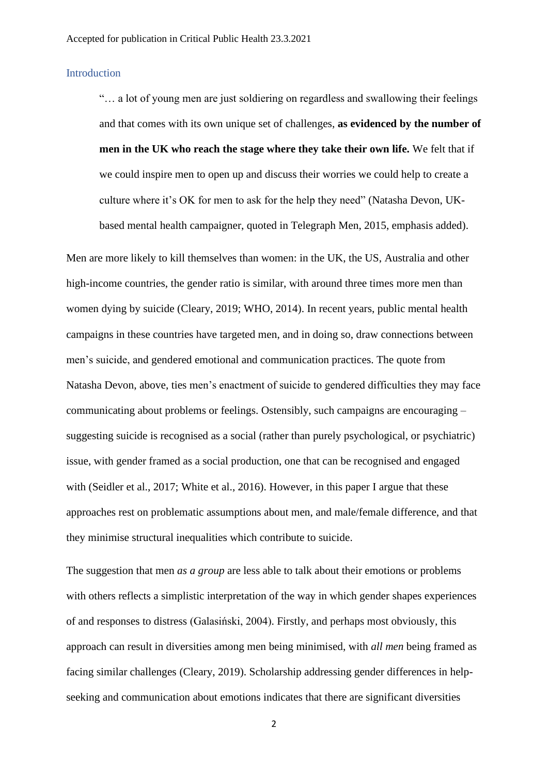#### **Introduction**

"… a lot of young men are just soldiering on regardless and swallowing their feelings and that comes with its own unique set of challenges, **as evidenced by the number of men in the UK who reach the stage where they take their own life.** We felt that if we could inspire men to open up and discuss their worries we could help to create a culture where it's OK for men to ask for the help they need" (Natasha Devon, UKbased mental health campaigner, quoted in Telegraph Men, 2015, emphasis added).

Men are more likely to kill themselves than women: in the UK, the US, Australia and other high-income countries, the gender ratio is similar, with around three times more men than women dying by suicide (Cleary, 2019; WHO, 2014). In recent years, public mental health campaigns in these countries have targeted men, and in doing so, draw connections between men's suicide, and gendered emotional and communication practices. The quote from Natasha Devon, above, ties men's enactment of suicide to gendered difficulties they may face communicating about problems or feelings. Ostensibly, such campaigns are encouraging – suggesting suicide is recognised as a social (rather than purely psychological, or psychiatric) issue, with gender framed as a social production, one that can be recognised and engaged with (Seidler et al., 2017; White et al., 2016). However, in this paper I argue that these approaches rest on problematic assumptions about men, and male/female difference, and that they minimise structural inequalities which contribute to suicide.

The suggestion that men *as a group* are less able to talk about their emotions or problems with others reflects a simplistic interpretation of the way in which gender shapes experiences of and responses to distress (Galasiński, 2004). Firstly, and perhaps most obviously, this approach can result in diversities among men being minimised, with *all men* being framed as facing similar challenges (Cleary, 2019). Scholarship addressing gender differences in helpseeking and communication about emotions indicates that there are significant diversities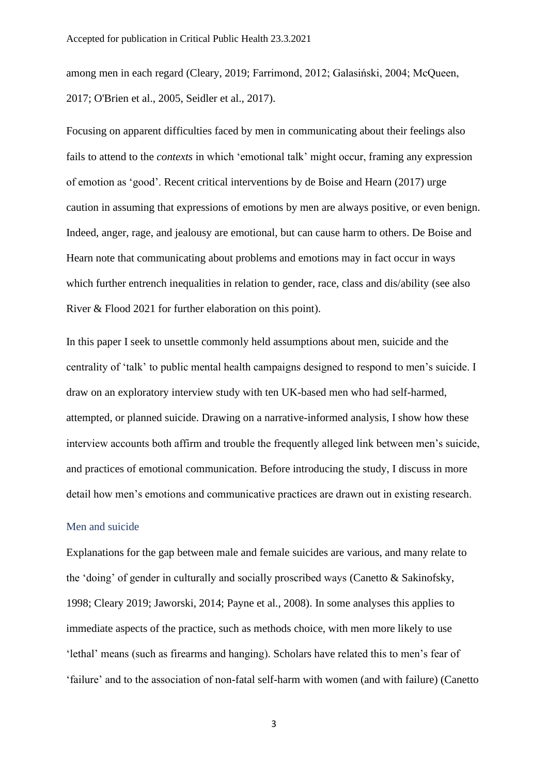among men in each regard (Cleary, 2019; Farrimond, 2012; Galasiński, 2004; McQueen, 2017; O'Brien et al., 2005, Seidler et al., 2017).

Focusing on apparent difficulties faced by men in communicating about their feelings also fails to attend to the *contexts* in which 'emotional talk' might occur, framing any expression of emotion as 'good'. Recent critical interventions by de Boise and Hearn (2017) urge caution in assuming that expressions of emotions by men are always positive, or even benign. Indeed, anger, rage, and jealousy are emotional, but can cause harm to others. De Boise and Hearn note that communicating about problems and emotions may in fact occur in ways which further entrench inequalities in relation to gender, race, class and dis/ability (see also River & Flood 2021 for further elaboration on this point).

In this paper I seek to unsettle commonly held assumptions about men, suicide and the centrality of 'talk' to public mental health campaigns designed to respond to men's suicide. I draw on an exploratory interview study with ten UK-based men who had self-harmed, attempted, or planned suicide. Drawing on a narrative-informed analysis, I show how these interview accounts both affirm and trouble the frequently alleged link between men's suicide, and practices of emotional communication. Before introducing the study, I discuss in more detail how men's emotions and communicative practices are drawn out in existing research.

#### Men and suicide

Explanations for the gap between male and female suicides are various, and many relate to the 'doing' of gender in culturally and socially proscribed ways (Canetto  $\&$  Sakinofsky, 1998; Cleary 2019; Jaworski, 2014; Payne et al., 2008). In some analyses this applies to immediate aspects of the practice, such as methods choice, with men more likely to use 'lethal' means (such as firearms and hanging). Scholars have related this to men's fear of 'failure' and to the association of non-fatal self-harm with women (and with failure) (Canetto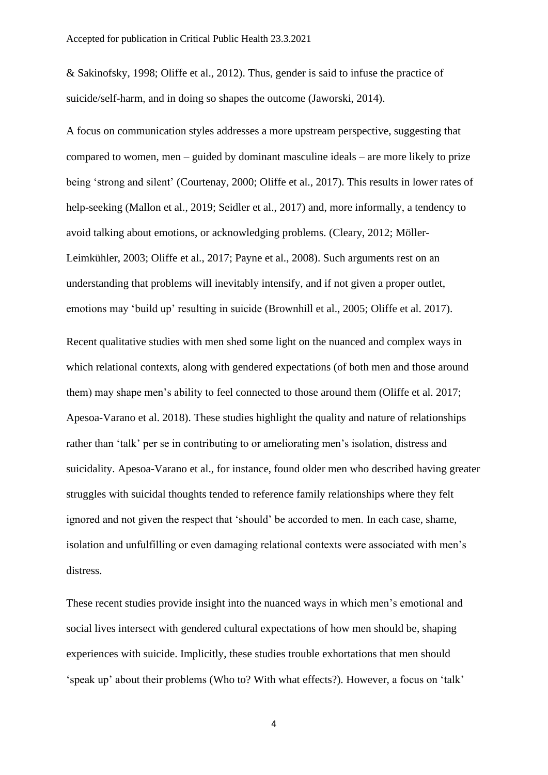& Sakinofsky, 1998; Oliffe et al., 2012). Thus, gender is said to infuse the practice of suicide/self-harm, and in doing so shapes the outcome (Jaworski, 2014).

A focus on communication styles addresses a more upstream perspective, suggesting that compared to women, men – guided by dominant masculine ideals – are more likely to prize being 'strong and silent' (Courtenay, 2000; Oliffe et al., 2017). This results in lower rates of help-seeking (Mallon et al., 2019; Seidler et al., 2017) and, more informally, a tendency to avoid talking about emotions, or acknowledging problems. (Cleary, 2012; Möller-Leimkühler, 2003; Oliffe et al., 2017; Payne et al., 2008). Such arguments rest on an understanding that problems will inevitably intensify, and if not given a proper outlet, emotions may 'build up' resulting in suicide (Brownhill et al., 2005; Oliffe et al. 2017). Recent qualitative studies with men shed some light on the nuanced and complex ways in which relational contexts, along with gendered expectations (of both men and those around them) may shape men's ability to feel connected to those around them (Oliffe et al. 2017; Apesoa-Varano et al. 2018). These studies highlight the quality and nature of relationships rather than 'talk' per se in contributing to or ameliorating men's isolation, distress and suicidality. Apesoa-Varano et al., for instance, found older men who described having greater struggles with suicidal thoughts tended to reference family relationships where they felt ignored and not given the respect that 'should' be accorded to men. In each case, shame, isolation and unfulfilling or even damaging relational contexts were associated with men's distress.

These recent studies provide insight into the nuanced ways in which men's emotional and social lives intersect with gendered cultural expectations of how men should be, shaping experiences with suicide. Implicitly, these studies trouble exhortations that men should 'speak up' about their problems (Who to? With what effects?). However, a focus on 'talk'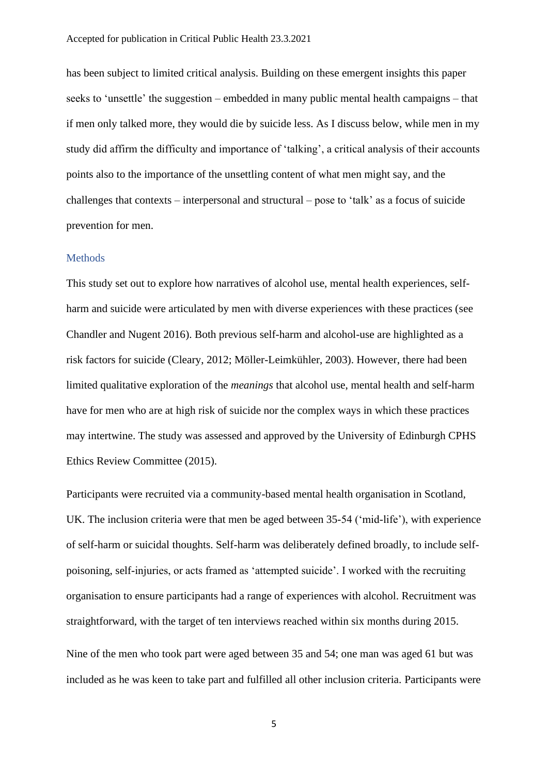has been subject to limited critical analysis. Building on these emergent insights this paper seeks to 'unsettle' the suggestion – embedded in many public mental health campaigns – that if men only talked more, they would die by suicide less. As I discuss below, while men in my study did affirm the difficulty and importance of 'talking', a critical analysis of their accounts points also to the importance of the unsettling content of what men might say, and the challenges that contexts – interpersonal and structural – pose to 'talk' as a focus of suicide prevention for men.

#### **Methods**

This study set out to explore how narratives of alcohol use, mental health experiences, selfharm and suicide were articulated by men with diverse experiences with these practices (see Chandler and Nugent 2016). Both previous self-harm and alcohol-use are highlighted as a risk factors for suicide (Cleary, 2012; Möller-Leimkühler, 2003). However, there had been limited qualitative exploration of the *meanings* that alcohol use, mental health and self-harm have for men who are at high risk of suicide nor the complex ways in which these practices may intertwine. The study was assessed and approved by the University of Edinburgh CPHS Ethics Review Committee (2015).

Participants were recruited via a community-based mental health organisation in Scotland, UK. The inclusion criteria were that men be aged between 35-54 ('mid-life'), with experience of self-harm or suicidal thoughts. Self-harm was deliberately defined broadly, to include selfpoisoning, self-injuries, or acts framed as 'attempted suicide'. I worked with the recruiting organisation to ensure participants had a range of experiences with alcohol. Recruitment was straightforward, with the target of ten interviews reached within six months during 2015.

Nine of the men who took part were aged between 35 and 54; one man was aged 61 but was included as he was keen to take part and fulfilled all other inclusion criteria. Participants were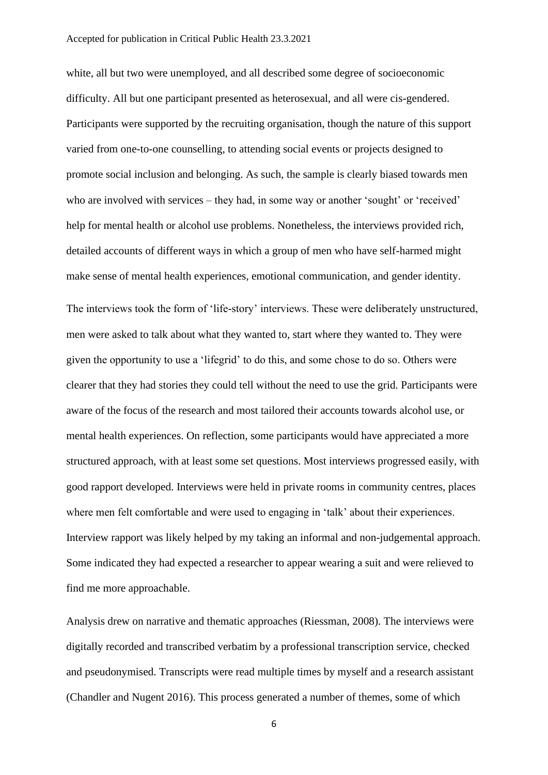white, all but two were unemployed, and all described some degree of socioeconomic difficulty. All but one participant presented as heterosexual, and all were cis-gendered. Participants were supported by the recruiting organisation, though the nature of this support varied from one-to-one counselling, to attending social events or projects designed to promote social inclusion and belonging. As such, the sample is clearly biased towards men who are involved with services – they had, in some way or another 'sought' or 'received' help for mental health or alcohol use problems. Nonetheless, the interviews provided rich, detailed accounts of different ways in which a group of men who have self-harmed might make sense of mental health experiences, emotional communication, and gender identity.

The interviews took the form of 'life-story' interviews. These were deliberately unstructured, men were asked to talk about what they wanted to, start where they wanted to. They were given the opportunity to use a 'lifegrid' to do this, and some chose to do so. Others were clearer that they had stories they could tell without the need to use the grid. Participants were aware of the focus of the research and most tailored their accounts towards alcohol use, or mental health experiences. On reflection, some participants would have appreciated a more structured approach, with at least some set questions. Most interviews progressed easily, with good rapport developed. Interviews were held in private rooms in community centres, places where men felt comfortable and were used to engaging in 'talk' about their experiences. Interview rapport was likely helped by my taking an informal and non-judgemental approach. Some indicated they had expected a researcher to appear wearing a suit and were relieved to find me more approachable.

Analysis drew on narrative and thematic approaches (Riessman, 2008). The interviews were digitally recorded and transcribed verbatim by a professional transcription service, checked and pseudonymised. Transcripts were read multiple times by myself and a research assistant (Chandler and Nugent 2016). This process generated a number of themes, some of which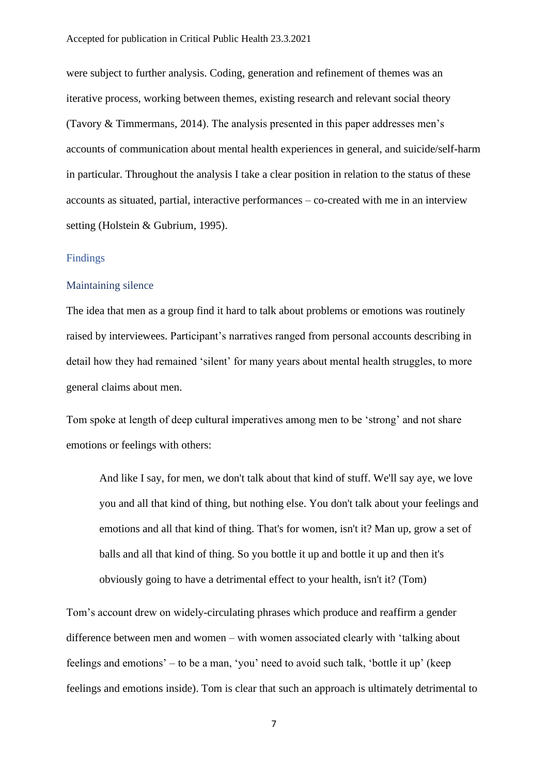were subject to further analysis. Coding, generation and refinement of themes was an iterative process, working between themes, existing research and relevant social theory (Tavory & Timmermans, 2014). The analysis presented in this paper addresses men's accounts of communication about mental health experiences in general, and suicide/self-harm in particular. Throughout the analysis I take a clear position in relation to the status of these accounts as situated, partial, interactive performances – co-created with me in an interview setting (Holstein & Gubrium, 1995).

#### Findings

#### Maintaining silence

The idea that men as a group find it hard to talk about problems or emotions was routinely raised by interviewees. Participant's narratives ranged from personal accounts describing in detail how they had remained 'silent' for many years about mental health struggles, to more general claims about men.

Tom spoke at length of deep cultural imperatives among men to be 'strong' and not share emotions or feelings with others:

And like I say, for men, we don't talk about that kind of stuff. We'll say aye, we love you and all that kind of thing, but nothing else. You don't talk about your feelings and emotions and all that kind of thing. That's for women, isn't it? Man up, grow a set of balls and all that kind of thing. So you bottle it up and bottle it up and then it's obviously going to have a detrimental effect to your health, isn't it? (Tom)

Tom's account drew on widely-circulating phrases which produce and reaffirm a gender difference between men and women – with women associated clearly with 'talking about feelings and emotions' – to be a man, 'you' need to avoid such talk, 'bottle it up' (keep feelings and emotions inside). Tom is clear that such an approach is ultimately detrimental to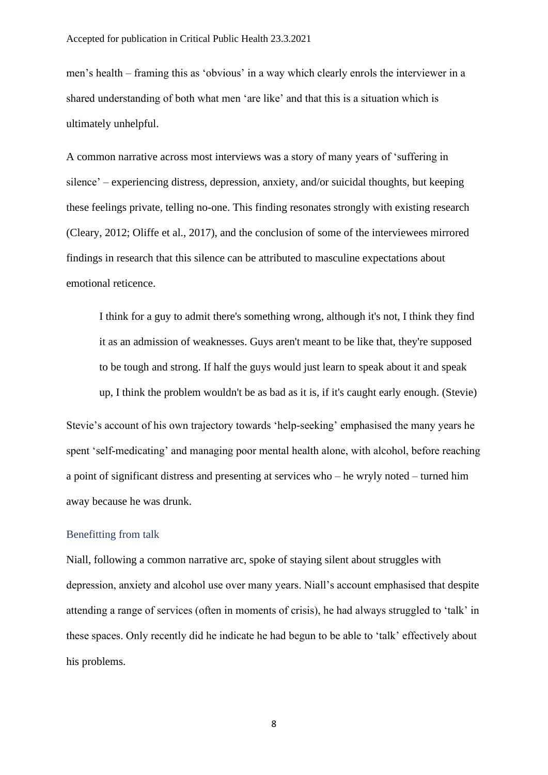men's health – framing this as 'obvious' in a way which clearly enrols the interviewer in a shared understanding of both what men 'are like' and that this is a situation which is ultimately unhelpful.

A common narrative across most interviews was a story of many years of 'suffering in silence' – experiencing distress, depression, anxiety, and/or suicidal thoughts, but keeping these feelings private, telling no-one. This finding resonates strongly with existing research (Cleary, 2012; Oliffe et al., 2017), and the conclusion of some of the interviewees mirrored findings in research that this silence can be attributed to masculine expectations about emotional reticence.

I think for a guy to admit there's something wrong, although it's not, I think they find it as an admission of weaknesses. Guys aren't meant to be like that, they're supposed to be tough and strong. If half the guys would just learn to speak about it and speak up, I think the problem wouldn't be as bad as it is, if it's caught early enough. (Stevie)

Stevie's account of his own trajectory towards 'help-seeking' emphasised the many years he spent 'self-medicating' and managing poor mental health alone, with alcohol, before reaching a point of significant distress and presenting at services who – he wryly noted – turned him away because he was drunk.

#### Benefitting from talk

Niall, following a common narrative arc, spoke of staying silent about struggles with depression, anxiety and alcohol use over many years. Niall's account emphasised that despite attending a range of services (often in moments of crisis), he had always struggled to 'talk' in these spaces. Only recently did he indicate he had begun to be able to 'talk' effectively about his problems.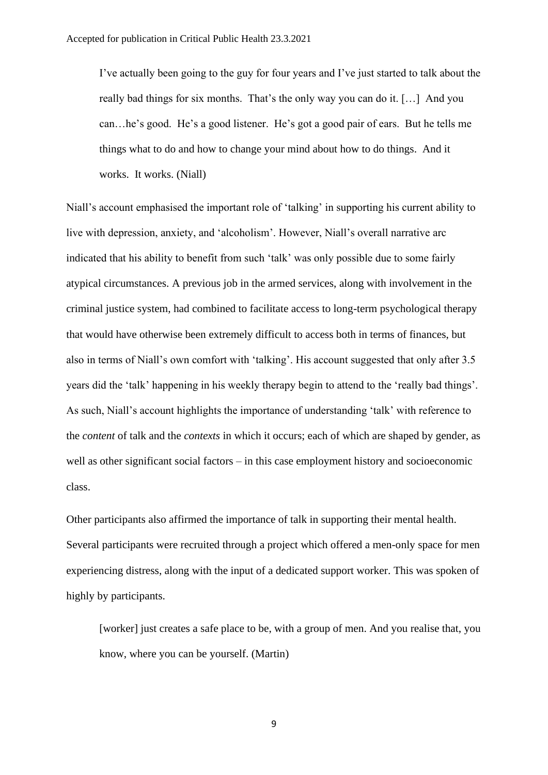I've actually been going to the guy for four years and I've just started to talk about the really bad things for six months. That's the only way you can do it. […] And you can…he's good. He's a good listener. He's got a good pair of ears. But he tells me things what to do and how to change your mind about how to do things. And it works. It works. (Niall)

Niall's account emphasised the important role of 'talking' in supporting his current ability to live with depression, anxiety, and 'alcoholism'. However, Niall's overall narrative arc indicated that his ability to benefit from such 'talk' was only possible due to some fairly atypical circumstances. A previous job in the armed services, along with involvement in the criminal justice system, had combined to facilitate access to long-term psychological therapy that would have otherwise been extremely difficult to access both in terms of finances, but also in terms of Niall's own comfort with 'talking'. His account suggested that only after 3.5 years did the 'talk' happening in his weekly therapy begin to attend to the 'really bad things'. As such, Niall's account highlights the importance of understanding 'talk' with reference to the *content* of talk and the *contexts* in which it occurs; each of which are shaped by gender, as well as other significant social factors – in this case employment history and socioeconomic class.

Other participants also affirmed the importance of talk in supporting their mental health. Several participants were recruited through a project which offered a men-only space for men experiencing distress, along with the input of a dedicated support worker. This was spoken of highly by participants.

[worker] just creates a safe place to be, with a group of men. And you realise that, you know, where you can be yourself. (Martin)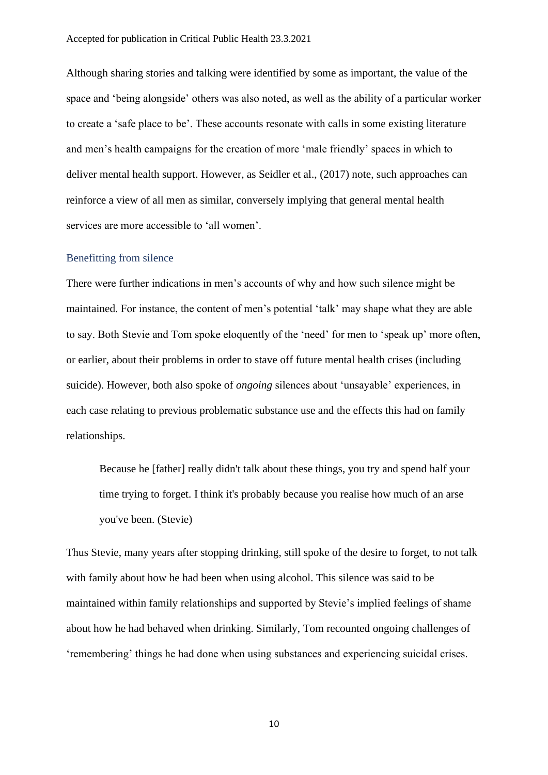Although sharing stories and talking were identified by some as important, the value of the space and 'being alongside' others was also noted, as well as the ability of a particular worker to create a 'safe place to be'. These accounts resonate with calls in some existing literature and men's health campaigns for the creation of more 'male friendly' spaces in which to deliver mental health support. However, as Seidler et al., (2017) note, such approaches can reinforce a view of all men as similar, conversely implying that general mental health services are more accessible to 'all women'.

#### Benefitting from silence

There were further indications in men's accounts of why and how such silence might be maintained. For instance, the content of men's potential 'talk' may shape what they are able to say. Both Stevie and Tom spoke eloquently of the 'need' for men to 'speak up' more often, or earlier, about their problems in order to stave off future mental health crises (including suicide). However, both also spoke of *ongoing* silences about 'unsayable' experiences, in each case relating to previous problematic substance use and the effects this had on family relationships.

Because he [father] really didn't talk about these things, you try and spend half your time trying to forget. I think it's probably because you realise how much of an arse you've been. (Stevie)

Thus Stevie, many years after stopping drinking, still spoke of the desire to forget, to not talk with family about how he had been when using alcohol. This silence was said to be maintained within family relationships and supported by Stevie's implied feelings of shame about how he had behaved when drinking. Similarly, Tom recounted ongoing challenges of 'remembering' things he had done when using substances and experiencing suicidal crises.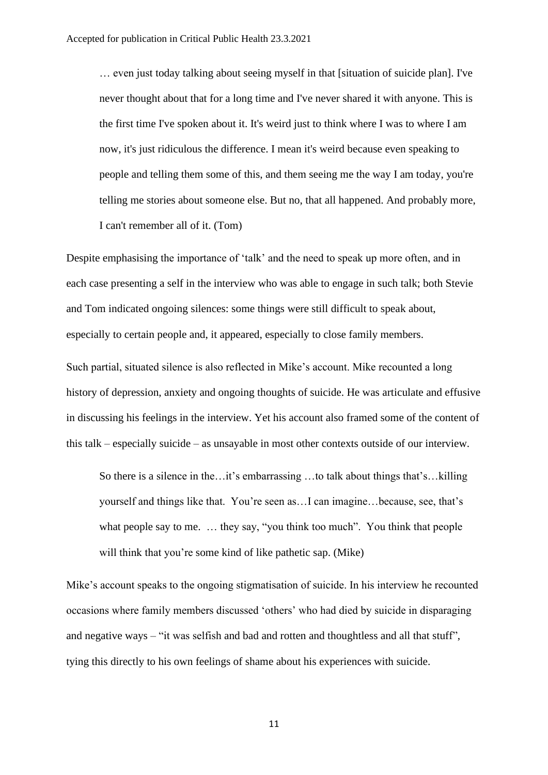… even just today talking about seeing myself in that [situation of suicide plan]. I've never thought about that for a long time and I've never shared it with anyone. This is the first time I've spoken about it. It's weird just to think where I was to where I am now, it's just ridiculous the difference. I mean it's weird because even speaking to people and telling them some of this, and them seeing me the way I am today, you're telling me stories about someone else. But no, that all happened. And probably more, I can't remember all of it. (Tom)

Despite emphasising the importance of 'talk' and the need to speak up more often, and in each case presenting a self in the interview who was able to engage in such talk; both Stevie and Tom indicated ongoing silences: some things were still difficult to speak about, especially to certain people and, it appeared, especially to close family members.

Such partial, situated silence is also reflected in Mike's account. Mike recounted a long history of depression, anxiety and ongoing thoughts of suicide. He was articulate and effusive in discussing his feelings in the interview. Yet his account also framed some of the content of this talk – especially suicide – as unsayable in most other contexts outside of our interview.

So there is a silence in the…it's embarrassing …to talk about things that's…killing yourself and things like that. You're seen as…I can imagine…because, see, that's what people say to me. ... they say, "you think too much". You think that people will think that you're some kind of like pathetic sap. (Mike)

Mike's account speaks to the ongoing stigmatisation of suicide. In his interview he recounted occasions where family members discussed 'others' who had died by suicide in disparaging and negative ways – "it was selfish and bad and rotten and thoughtless and all that stuff", tying this directly to his own feelings of shame about his experiences with suicide.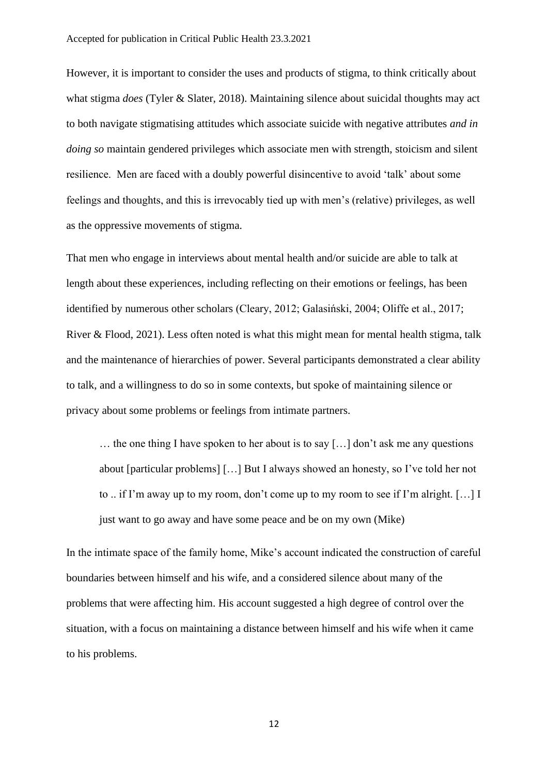However, it is important to consider the uses and products of stigma, to think critically about what stigma *does* (Tyler & Slater, 2018). Maintaining silence about suicidal thoughts may act to both navigate stigmatising attitudes which associate suicide with negative attributes *and in doing so* maintain gendered privileges which associate men with strength, stoicism and silent resilience. Men are faced with a doubly powerful disincentive to avoid 'talk' about some feelings and thoughts, and this is irrevocably tied up with men's (relative) privileges, as well as the oppressive movements of stigma.

That men who engage in interviews about mental health and/or suicide are able to talk at length about these experiences, including reflecting on their emotions or feelings, has been identified by numerous other scholars (Cleary, 2012; Galasiński, 2004; Oliffe et al., 2017; River & Flood, 2021). Less often noted is what this might mean for mental health stigma, talk and the maintenance of hierarchies of power. Several participants demonstrated a clear ability to talk, and a willingness to do so in some contexts, but spoke of maintaining silence or privacy about some problems or feelings from intimate partners.

… the one thing I have spoken to her about is to say […] don't ask me any questions about [particular problems] […] But I always showed an honesty, so I've told her not to .. if I'm away up to my room, don't come up to my room to see if I'm alright. […] I just want to go away and have some peace and be on my own (Mike)

In the intimate space of the family home, Mike's account indicated the construction of careful boundaries between himself and his wife, and a considered silence about many of the problems that were affecting him. His account suggested a high degree of control over the situation, with a focus on maintaining a distance between himself and his wife when it came to his problems.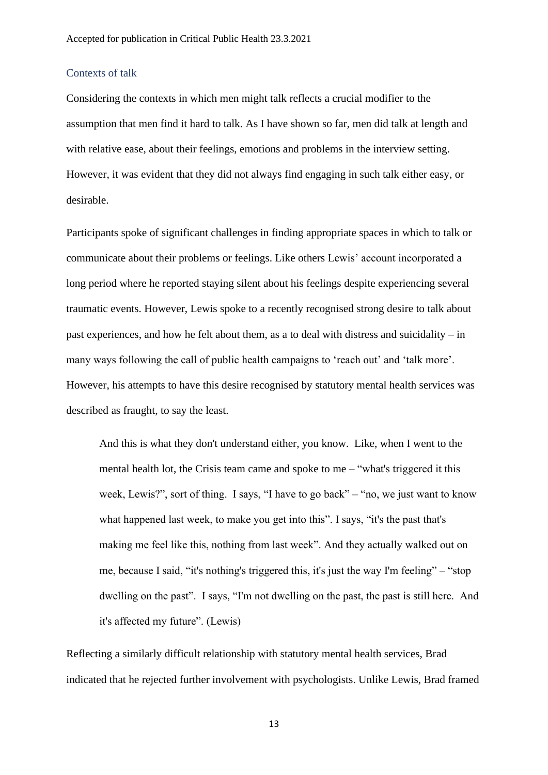#### Contexts of talk

Considering the contexts in which men might talk reflects a crucial modifier to the assumption that men find it hard to talk. As I have shown so far, men did talk at length and with relative ease, about their feelings, emotions and problems in the interview setting. However, it was evident that they did not always find engaging in such talk either easy, or desirable.

Participants spoke of significant challenges in finding appropriate spaces in which to talk or communicate about their problems or feelings. Like others Lewis' account incorporated a long period where he reported staying silent about his feelings despite experiencing several traumatic events. However, Lewis spoke to a recently recognised strong desire to talk about past experiences, and how he felt about them, as a to deal with distress and suicidality – in many ways following the call of public health campaigns to 'reach out' and 'talk more'. However, his attempts to have this desire recognised by statutory mental health services was described as fraught, to say the least.

And this is what they don't understand either, you know. Like, when I went to the mental health lot, the Crisis team came and spoke to me – "what's triggered it this week, Lewis?", sort of thing. I says, "I have to go back" – "no, we just want to know what happened last week, to make you get into this". I says, "it's the past that's making me feel like this, nothing from last week". And they actually walked out on me, because I said, "it's nothing's triggered this, it's just the way I'm feeling" – "stop dwelling on the past". I says, "I'm not dwelling on the past, the past is still here. And it's affected my future". (Lewis)

Reflecting a similarly difficult relationship with statutory mental health services, Brad indicated that he rejected further involvement with psychologists. Unlike Lewis, Brad framed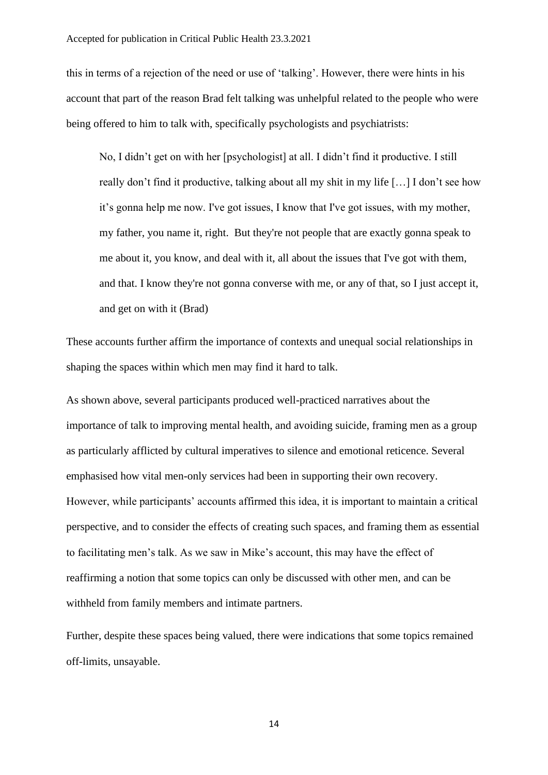this in terms of a rejection of the need or use of 'talking'. However, there were hints in his account that part of the reason Brad felt talking was unhelpful related to the people who were being offered to him to talk with, specifically psychologists and psychiatrists:

No, I didn't get on with her [psychologist] at all. I didn't find it productive. I still really don't find it productive, talking about all my shit in my life […] I don't see how it's gonna help me now. I've got issues, I know that I've got issues, with my mother, my father, you name it, right. But they're not people that are exactly gonna speak to me about it, you know, and deal with it, all about the issues that I've got with them, and that. I know they're not gonna converse with me, or any of that, so I just accept it, and get on with it (Brad)

These accounts further affirm the importance of contexts and unequal social relationships in shaping the spaces within which men may find it hard to talk.

As shown above, several participants produced well-practiced narratives about the importance of talk to improving mental health, and avoiding suicide, framing men as a group as particularly afflicted by cultural imperatives to silence and emotional reticence. Several emphasised how vital men-only services had been in supporting their own recovery. However, while participants' accounts affirmed this idea, it is important to maintain a critical perspective, and to consider the effects of creating such spaces, and framing them as essential to facilitating men's talk. As we saw in Mike's account, this may have the effect of reaffirming a notion that some topics can only be discussed with other men, and can be withheld from family members and intimate partners.

Further, despite these spaces being valued, there were indications that some topics remained off-limits, unsayable.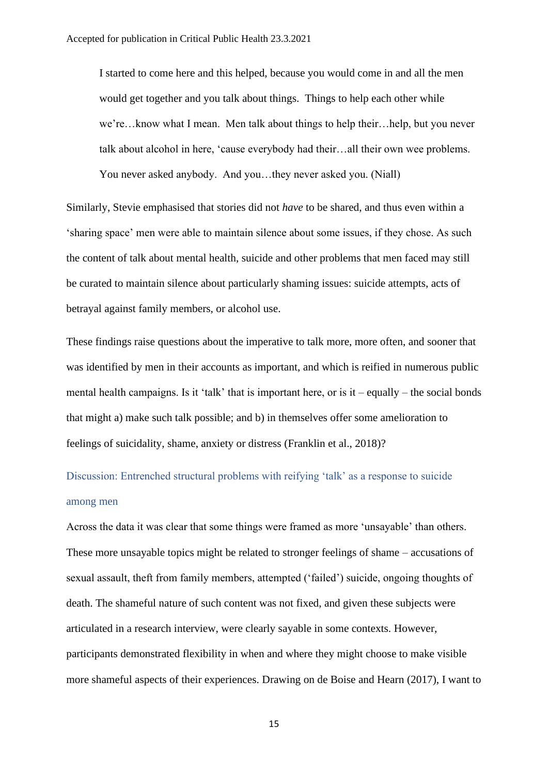I started to come here and this helped, because you would come in and all the men would get together and you talk about things. Things to help each other while we're…know what I mean. Men talk about things to help their…help, but you never talk about alcohol in here, 'cause everybody had their…all their own wee problems. You never asked anybody. And you…they never asked you. (Niall)

Similarly, Stevie emphasised that stories did not *have* to be shared, and thus even within a 'sharing space' men were able to maintain silence about some issues, if they chose. As such the content of talk about mental health, suicide and other problems that men faced may still be curated to maintain silence about particularly shaming issues: suicide attempts, acts of betrayal against family members, or alcohol use.

These findings raise questions about the imperative to talk more, more often, and sooner that was identified by men in their accounts as important, and which is reified in numerous public mental health campaigns. Is it 'talk' that is important here, or is it – equally – the social bonds that might a) make such talk possible; and b) in themselves offer some amelioration to feelings of suicidality, shame, anxiety or distress (Franklin et al., 2018)?

Discussion: Entrenched structural problems with reifying 'talk' as a response to suicide among men

Across the data it was clear that some things were framed as more 'unsayable' than others. These more unsayable topics might be related to stronger feelings of shame – accusations of sexual assault, theft from family members, attempted ('failed') suicide, ongoing thoughts of death. The shameful nature of such content was not fixed, and given these subjects were articulated in a research interview, were clearly sayable in some contexts. However, participants demonstrated flexibility in when and where they might choose to make visible more shameful aspects of their experiences. Drawing on de Boise and Hearn (2017), I want to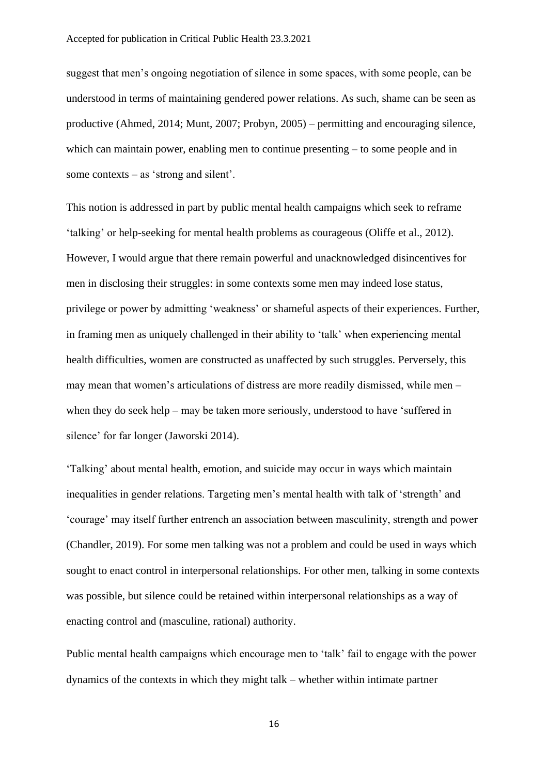suggest that men's ongoing negotiation of silence in some spaces, with some people, can be understood in terms of maintaining gendered power relations. As such, shame can be seen as productive (Ahmed, 2014; Munt, 2007; Probyn, 2005) – permitting and encouraging silence, which can maintain power, enabling men to continue presenting – to some people and in some contexts – as 'strong and silent'.

This notion is addressed in part by public mental health campaigns which seek to reframe 'talking' or help-seeking for mental health problems as courageous (Oliffe et al., 2012). However, I would argue that there remain powerful and unacknowledged disincentives for men in disclosing their struggles: in some contexts some men may indeed lose status, privilege or power by admitting 'weakness' or shameful aspects of their experiences. Further, in framing men as uniquely challenged in their ability to 'talk' when experiencing mental health difficulties, women are constructed as unaffected by such struggles. Perversely, this may mean that women's articulations of distress are more readily dismissed, while men – when they do seek help – may be taken more seriously, understood to have 'suffered in silence' for far longer (Jaworski 2014).

'Talking' about mental health, emotion, and suicide may occur in ways which maintain inequalities in gender relations. Targeting men's mental health with talk of 'strength' and 'courage' may itself further entrench an association between masculinity, strength and power (Chandler, 2019). For some men talking was not a problem and could be used in ways which sought to enact control in interpersonal relationships. For other men, talking in some contexts was possible, but silence could be retained within interpersonal relationships as a way of enacting control and (masculine, rational) authority.

Public mental health campaigns which encourage men to 'talk' fail to engage with the power dynamics of the contexts in which they might talk – whether within intimate partner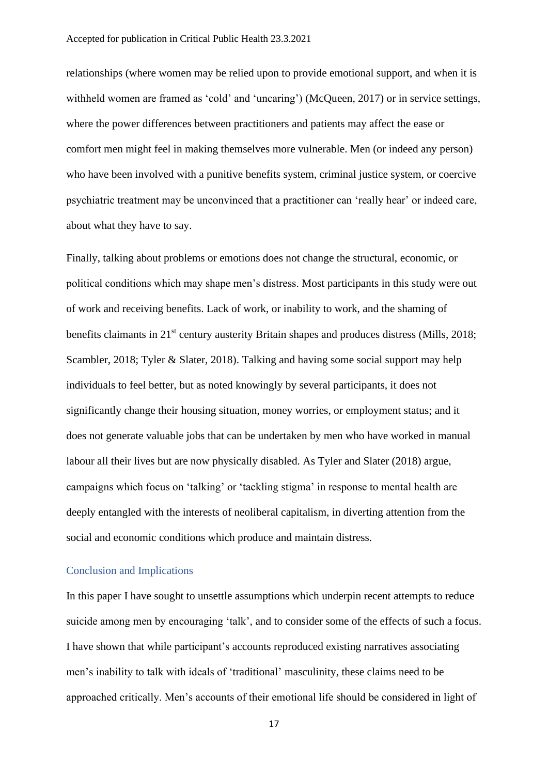relationships (where women may be relied upon to provide emotional support, and when it is withheld women are framed as 'cold' and 'uncaring') (McQueen, 2017) or in service settings, where the power differences between practitioners and patients may affect the ease or comfort men might feel in making themselves more vulnerable. Men (or indeed any person) who have been involved with a punitive benefits system, criminal justice system, or coercive psychiatric treatment may be unconvinced that a practitioner can 'really hear' or indeed care, about what they have to say.

Finally, talking about problems or emotions does not change the structural, economic, or political conditions which may shape men's distress. Most participants in this study were out of work and receiving benefits. Lack of work, or inability to work, and the shaming of benefits claimants in 21<sup>st</sup> century austerity Britain shapes and produces distress (Mills, 2018; Scambler, 2018; Tyler & Slater, 2018). Talking and having some social support may help individuals to feel better, but as noted knowingly by several participants, it does not significantly change their housing situation, money worries, or employment status; and it does not generate valuable jobs that can be undertaken by men who have worked in manual labour all their lives but are now physically disabled. As Tyler and Slater (2018) argue, campaigns which focus on 'talking' or 'tackling stigma' in response to mental health are deeply entangled with the interests of neoliberal capitalism, in diverting attention from the social and economic conditions which produce and maintain distress.

#### Conclusion and Implications

In this paper I have sought to unsettle assumptions which underpin recent attempts to reduce suicide among men by encouraging 'talk', and to consider some of the effects of such a focus. I have shown that while participant's accounts reproduced existing narratives associating men's inability to talk with ideals of 'traditional' masculinity, these claims need to be approached critically. Men's accounts of their emotional life should be considered in light of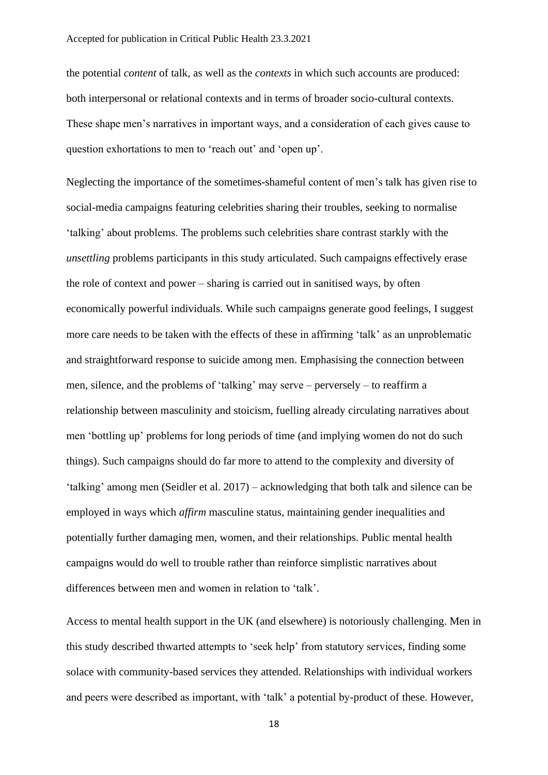the potential *content* of talk, as well as the *contexts* in which such accounts are produced: both interpersonal or relational contexts and in terms of broader socio-cultural contexts. These shape men's narratives in important ways, and a consideration of each gives cause to question exhortations to men to 'reach out' and 'open up'.

Neglecting the importance of the sometimes-shameful content of men's talk has given rise to social-media campaigns featuring celebrities sharing their troubles, seeking to normalise 'talking' about problems. The problems such celebrities share contrast starkly with the *unsettling* problems participants in this study articulated. Such campaigns effectively erase the role of context and power – sharing is carried out in sanitised ways, by often economically powerful individuals. While such campaigns generate good feelings, I suggest more care needs to be taken with the effects of these in affirming 'talk' as an unproblematic and straightforward response to suicide among men. Emphasising the connection between men, silence, and the problems of 'talking' may serve – perversely – to reaffirm a relationship between masculinity and stoicism, fuelling already circulating narratives about men 'bottling up' problems for long periods of time (and implying women do not do such things). Such campaigns should do far more to attend to the complexity and diversity of 'talking' among men (Seidler et al. 2017) – acknowledging that both talk and silence can be employed in ways which *affirm* masculine status, maintaining gender inequalities and potentially further damaging men, women, and their relationships. Public mental health campaigns would do well to trouble rather than reinforce simplistic narratives about differences between men and women in relation to 'talk'.

Access to mental health support in the UK (and elsewhere) is notoriously challenging. Men in this study described thwarted attempts to 'seek help' from statutory services, finding some solace with community-based services they attended. Relationships with individual workers and peers were described as important, with 'talk' a potential by-product of these. However,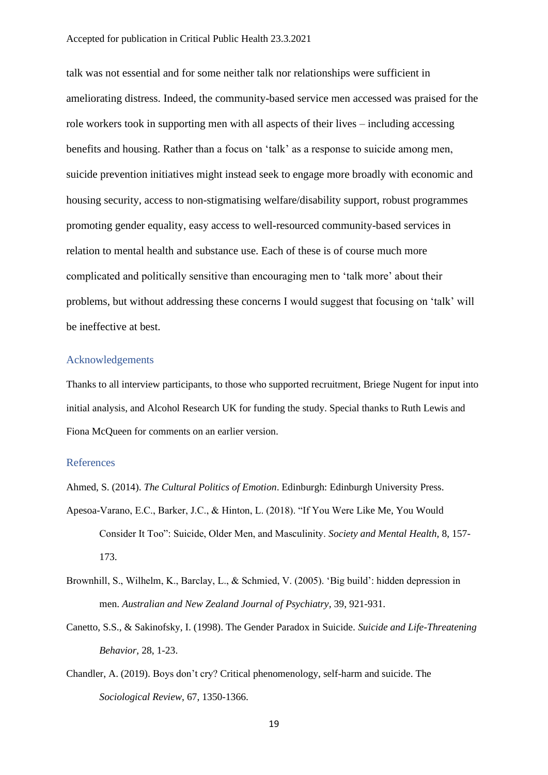talk was not essential and for some neither talk nor relationships were sufficient in ameliorating distress. Indeed, the community-based service men accessed was praised for the role workers took in supporting men with all aspects of their lives – including accessing benefits and housing. Rather than a focus on 'talk' as a response to suicide among men, suicide prevention initiatives might instead seek to engage more broadly with economic and housing security, access to non-stigmatising welfare/disability support, robust programmes promoting gender equality, easy access to well-resourced community-based services in relation to mental health and substance use. Each of these is of course much more complicated and politically sensitive than encouraging men to 'talk more' about their problems, but without addressing these concerns I would suggest that focusing on 'talk' will be ineffective at best.

#### Acknowledgements

Thanks to all interview participants, to those who supported recruitment, Briege Nugent for input into initial analysis, and Alcohol Research UK for funding the study. Special thanks to Ruth Lewis and Fiona McQueen for comments on an earlier version.

#### References

Ahmed, S. (2014). *The Cultural Politics of Emotion*. Edinburgh: Edinburgh University Press.

- Apesoa-Varano, E.C., Barker, J.C., & Hinton, L. (2018). "If You Were Like Me, You Would Consider It Too": Suicide, Older Men, and Masculinity. *Society and Mental Health,* 8, 157- 173.
- Brownhill, S., Wilhelm, K., Barclay, L., & Schmied, V. (2005). 'Big build': hidden depression in men. *Australian and New Zealand Journal of Psychiatry,* 39, 921-931.
- Canetto, S.S., & Sakinofsky, I. (1998). The Gender Paradox in Suicide. *Suicide and Life-Threatening Behavior,* 28, 1-23.
- Chandler, A. (2019). Boys don't cry? Critical phenomenology, self-harm and suicide. The *Sociological Review*, 67, 1350-1366.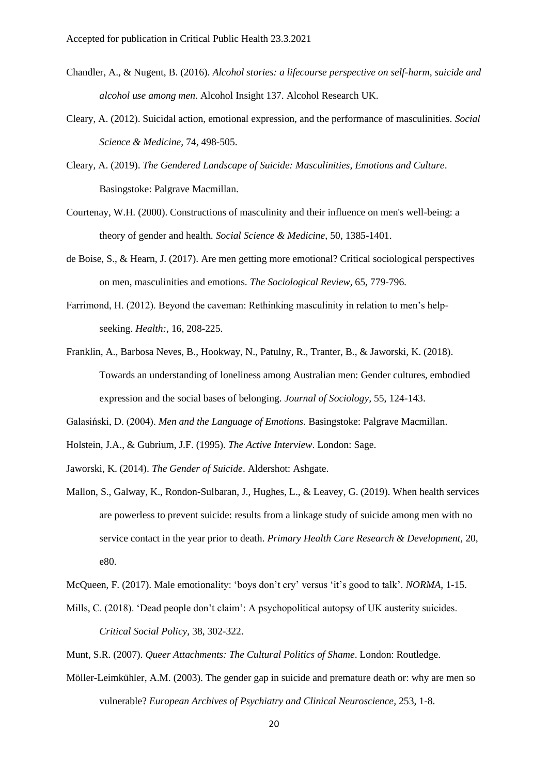- Chandler, A., & Nugent, B. (2016). *Alcohol stories: a lifecourse perspective on self-harm, suicide and alcohol use among men*. Alcohol Insight 137. Alcohol Research UK.
- Cleary, A. (2012). Suicidal action, emotional expression, and the performance of masculinities. *Social Science & Medicine,* 74, 498-505.
- Cleary, A. (2019). *The Gendered Landscape of Suicide: Masculinities, Emotions and Culture*. Basingstoke: Palgrave Macmillan.
- Courtenay, W.H. (2000). Constructions of masculinity and their influence on men's well-being: a theory of gender and health. *Social Science & Medicine,* 50, 1385-1401.
- de Boise, S., & Hearn, J. (2017). Are men getting more emotional? Critical sociological perspectives on men, masculinities and emotions. *The Sociological Review,* 65, 779-796.
- Farrimond, H. (2012). Beyond the caveman: Rethinking masculinity in relation to men's helpseeking. *Health:,* 16, 208-225.
- Franklin, A., Barbosa Neves, B., Hookway, N., Patulny, R., Tranter, B., & Jaworski, K. (2018). Towards an understanding of loneliness among Australian men: Gender cultures, embodied expression and the social bases of belonging. *Journal of Sociology,* 55, 124-143.

Galasiński, D. (2004). *Men and the Language of Emotions*. Basingstoke: Palgrave Macmillan.

- Holstein, J.A., & Gubrium, J.F. (1995). *The Active Interview*. London: Sage.
- Jaworski, K. (2014). *The Gender of Suicide*. Aldershot: Ashgate.
- Mallon, S., Galway, K., Rondon-Sulbaran, J., Hughes, L., & Leavey, G. (2019). When health services are powerless to prevent suicide: results from a linkage study of suicide among men with no service contact in the year prior to death. *Primary Health Care Research & Development,* 20, e80.
- McQueen, F. (2017). Male emotionality: 'boys don't cry' versus 'it's good to talk'. *NORMA*, 1-15.
- Mills, C. (2018). 'Dead people don't claim': A psychopolitical autopsy of UK austerity suicides. *Critical Social Policy,* 38, 302-322.
- Munt, S.R. (2007). *Queer Attachments: The Cultural Politics of Shame*. London: Routledge.
- Möller-Leimkühler, A.M. (2003). The gender gap in suicide and premature death or: why are men so vulnerable? *European Archives of Psychiatry and Clinical Neuroscience,* 253, 1-8.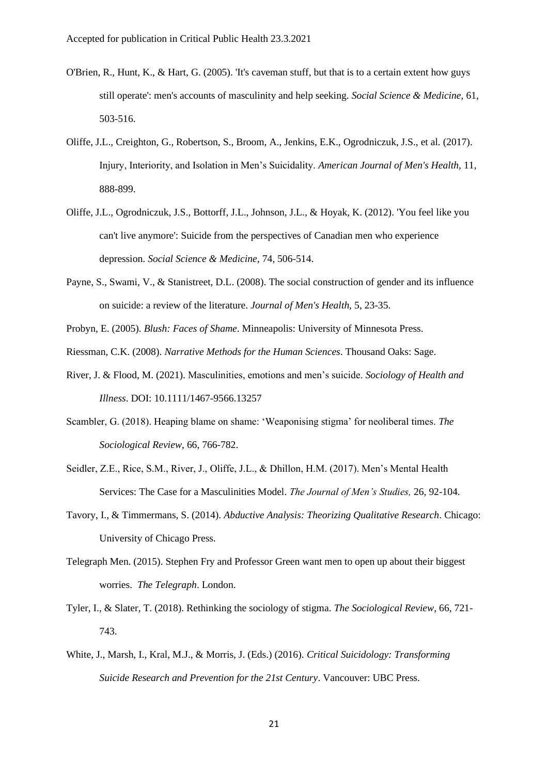- O'Brien, R., Hunt, K., & Hart, G. (2005). 'It's caveman stuff, but that is to a certain extent how guys still operate': men's accounts of masculinity and help seeking. *Social Science & Medicine,* 61, 503-516.
- Oliffe, J.L., Creighton, G., Robertson, S., Broom, A., Jenkins, E.K., Ogrodniczuk, J.S., et al. (2017). Injury, Interiority, and Isolation in Men's Suicidality. *American Journal of Men's Health,* 11, 888-899.
- Oliffe, J.L., Ogrodniczuk, J.S., Bottorff, J.L., Johnson, J.L., & Hoyak, K. (2012). 'You feel like you can't live anymore': Suicide from the perspectives of Canadian men who experience depression. *Social Science & Medicine,* 74, 506-514.
- Payne, S., Swami, V., & Stanistreet, D.L. (2008). The social construction of gender and its influence on suicide: a review of the literature. *Journal of Men's Health,* 5, 23-35.
- Probyn, E. (2005). *Blush: Faces of Shame*. Minneapolis: University of Minnesota Press.
- Riessman, C.K. (2008). *Narrative Methods for the Human Sciences*. Thousand Oaks: Sage.
- River, J. & Flood, M. (2021). Masculinities, emotions and men's suicide. *Sociology of Health and Illness*. DOI: 10.1111/1467-9566.13257
- Scambler, G. (2018). Heaping blame on shame: 'Weaponising stigma' for neoliberal times. *The Sociological Review,* 66, 766-782.
- Seidler, Z.E., Rice, S.M., River, J., Oliffe, J.L., & Dhillon, H.M. (2017). Men's Mental Health Services: The Case for a Masculinities Model. *The Journal of Men's Studies,* 26, 92-104.
- Tavory, I., & Timmermans, S. (2014). *Abductive Analysis: Theorizing Qualitative Research*. Chicago: University of Chicago Press.
- Telegraph Men. (2015). Stephen Fry and Professor Green want men to open up about their biggest worries. *The Telegraph*. London.
- Tyler, I., & Slater, T. (2018). Rethinking the sociology of stigma. *The Sociological Review,* 66, 721- 743.
- White, J., Marsh, I., Kral, M.J., & Morris, J. (Eds.) (2016). *Critical Suicidology: Transforming Suicide Research and Prevention for the 21st Century*. Vancouver: UBC Press.